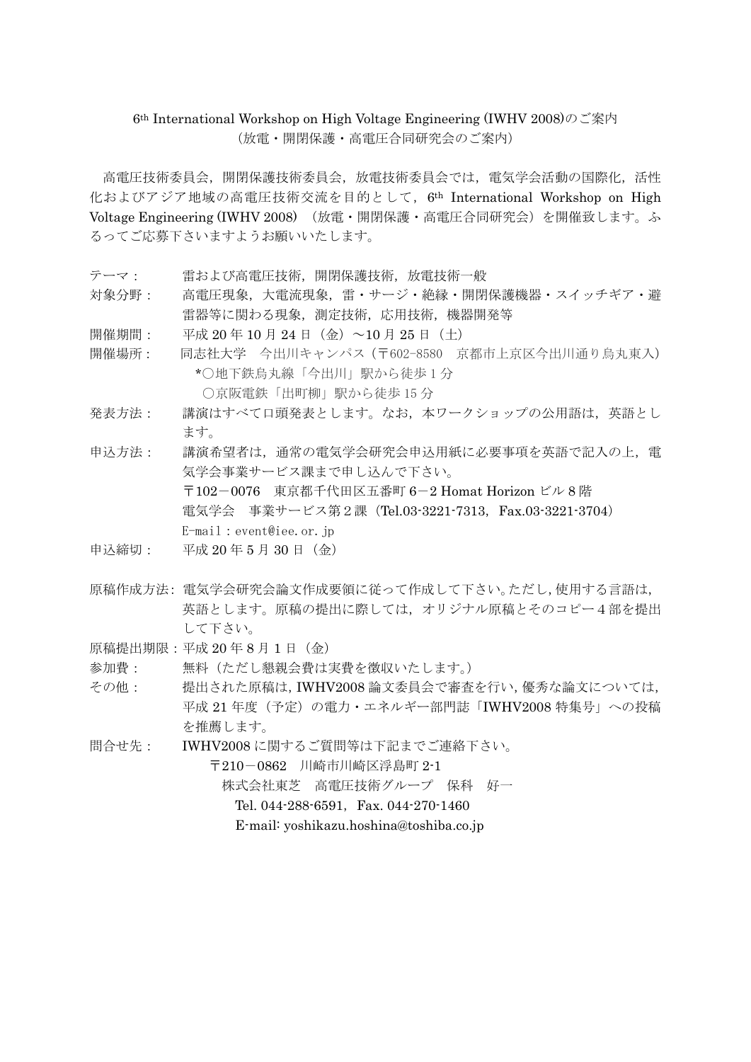#### 6th International Workshop on High Voltage Engineering (IWHV 2008)のご案内 (放電・開閉保護・高電圧合同研究会のご案内)

高電圧技術委員会,開閉保護技術委員会,放電技術委員会では,電気学会活動の国際化,活性 化およびアジア地域の高電圧技術交流を目的として、6<sup>th</sup> International Workshop on High Voltage Engineering (IWHV 2008) (放電・開閉保護・高電圧合同研究会)を開催致します。ふ るってご応募下さいますようお願いいたします。

- テーマ: 雷および高電圧技術,開閉保護技術,放電技術一般
- 対象分野: 高電圧現象,大電流現象,雷・サージ・絶縁・開閉保護機器・スイッチギア・避 雷器等に関わる現象,測定技術,応用技術,機器開発等
- 開催期間: 平成 20年 10 月 24 日 (金) ~10 月 25 日 (土)
- 開催場所: 同志社大学 今出川キャンパス(〒602-8580 京都市上京区今出川通り烏丸東入) \*○地下鉄烏丸線「今出川」駅から徒歩 1 分 ○京阪電鉄「出町柳」駅から徒歩 15 分
- 発表方法: 講演はすべて口頭発表とします。なお,本ワークショップの公用語は,英語とし ます。
- 申込方法: 講演希望者は,通常の電気学会研究会申込用紙に必要事項を英語で記入の上,電 気学会事業サービス課まで申し込んで下さい。 〒102-0076 東京都千代田区五番町 6-2 Homat Horizon ビル 8 階 電気学会 事業サービス第2課(Tel.03-3221-7313,Fax.03-3221-3704) E-mail:event@iee.or.jp
- 申込締切: 平成 20 年 5 月 30 日(金)
- 原稿作成方法: 電気学会研究会論文作成要領に従って作成して下さい。ただし,使用する言語は, 英語とします。原稿の提出に際しては,オリジナル原稿とそのコピー4部を提出 して下さい。
- 原稿提出期限:平成 20年8月1日(金)
- 参加費: 無料(ただし懇親会費は実費を徴収いたします。)
- その他: 提出された原稿は,IWHV2008 論文委員会で審査を行い,優秀な論文については, 平成 21 年度(予定)の電力・エネルギー部門誌「IWHV2008 特集号」への投稿 を推薦します。
- 問合せ先: IWHV2008 に関するご質問等は下記までご連絡下さい。

株式会社東芝 高電圧技術グループ 保科 好一

Tel. 044-288-6591, Fax. 044-270-1460

E-mail: yoshikazu.hoshina@toshiba.co.jp

<sup>〒</sup>210-0862 川崎市川崎区浮島町 2-1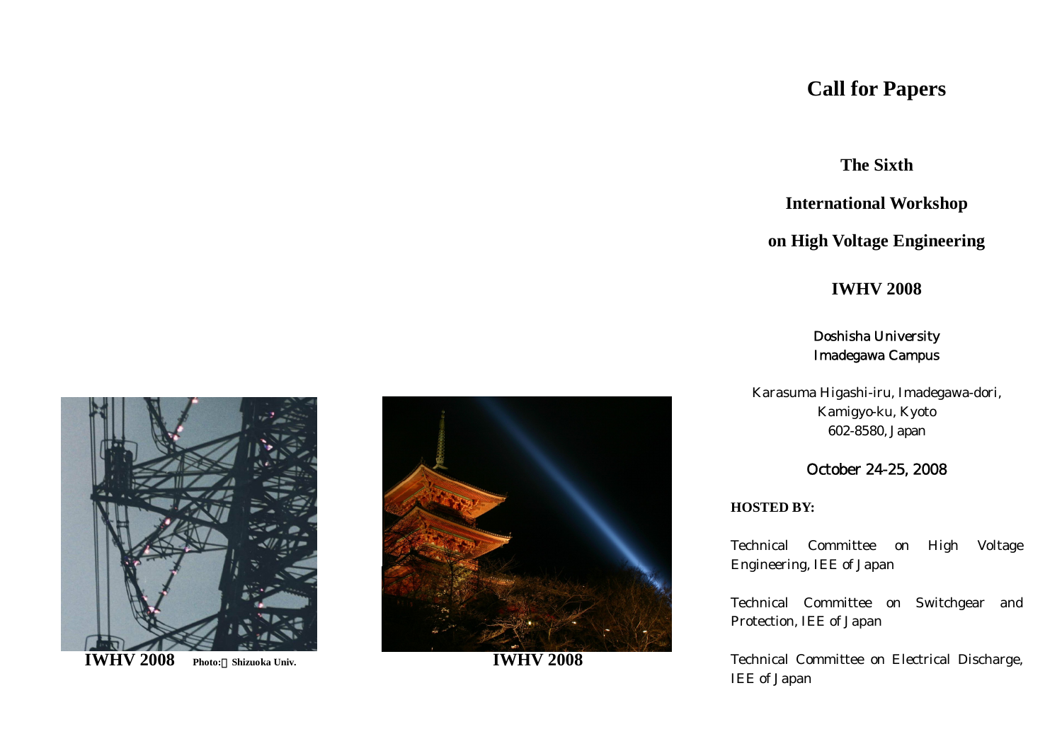# **Call for Papers**

**The Sixth**

**International Workshop**

# **on High Voltage Engineering**

## **IWHV 2008**

### Doshisha University Imadegawa Campus

Karasuma Higashi-iru, Imadegawa-dori, Kamigyo-ku, Kyoto 602-8580, Japan

### October 24-25, 2008

#### **HOSTED BY:**

Technical Committee on High Voltage Engineering, IEE of Japan

Technical Committee on Switchgear and Protection, IEE of Japan

Technical Committee on Electrical Discharge, IEE of Japan